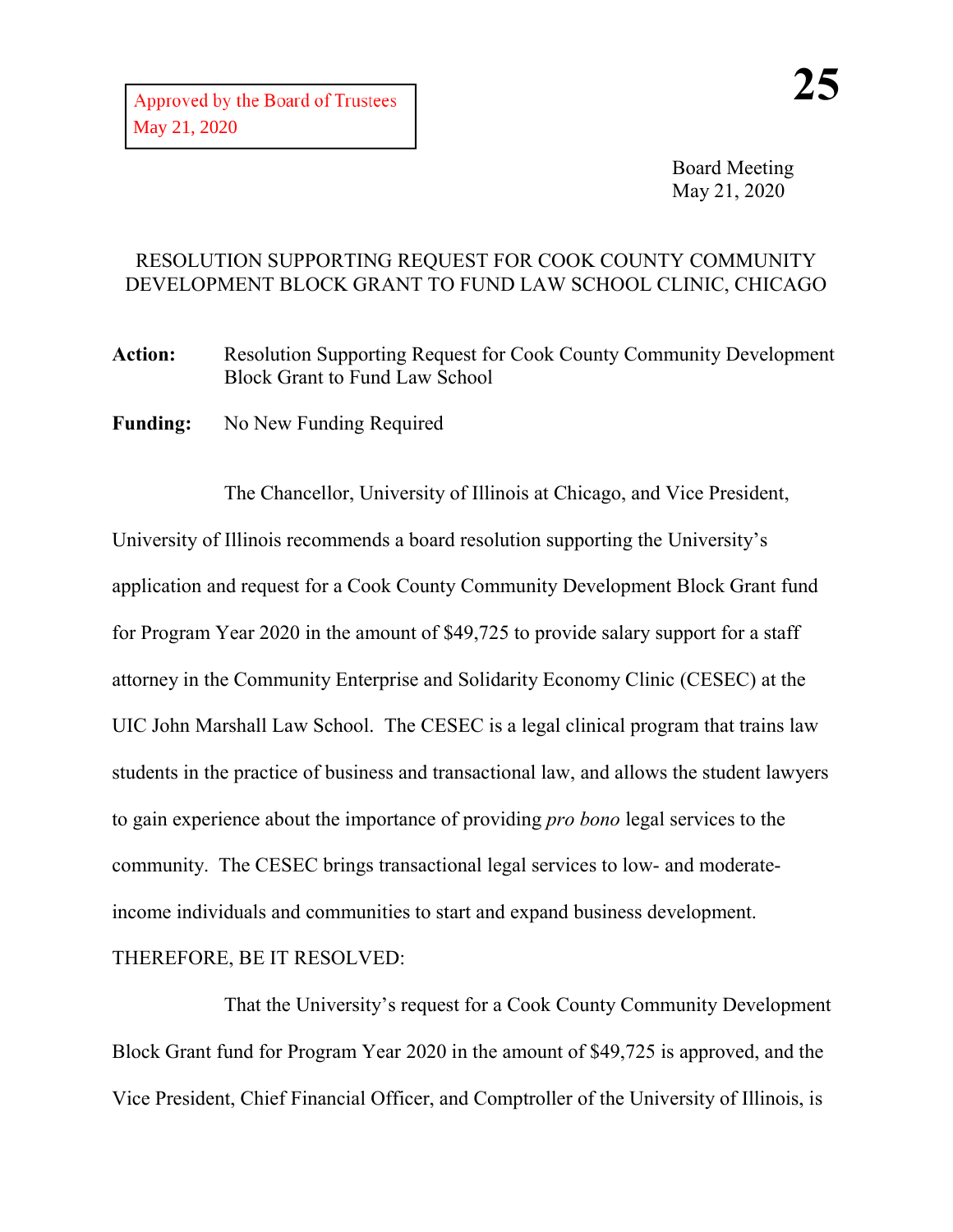Board Meeting May 21, 2020

## RESOLUTION SUPPORTING REQUEST FOR COOK COUNTY COMMUNITY DEVELOPMENT BLOCK GRANT TO FUND LAW SCHOOL CLINIC, CHICAGO

**Action:** Resolution Supporting Request for Cook County Community Development Block Grant to Fund Law School

**Funding:** No New Funding Required

The Chancellor, University of Illinois at Chicago, and Vice President, University of Illinois recommends a board resolution supporting the University's application and request for a Cook County Community Development Block Grant fund for Program Year 2020 in the amount of \$49,725 to provide salary support for a staff attorney in the Community Enterprise and Solidarity Economy Clinic (CESEC) at the UIC John Marshall Law School. The CESEC is a legal clinical program that trains law students in the practice of business and transactional law, and allows the student lawyers to gain experience about the importance of providing *pro bono* legal services to the community. The CESEC brings transactional legal services to low- and moderateincome individuals and communities to start and expand business development.

## THEREFORE, BE IT RESOLVED:

That the University's request for a Cook County Community Development Block Grant fund for Program Year 2020 in the amount of \$49,725 is approved, and the Vice President, Chief Financial Officer, and Comptroller of the University of Illinois, is